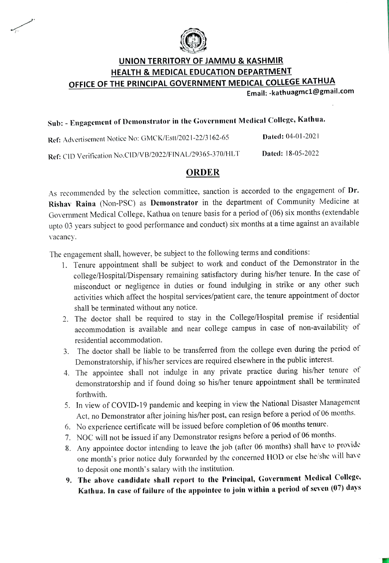

#### UNION TERRITORY OF JAMMU & KASHMIR HEALTH & MEDICAL EDUCATION DEPARTMENT OFFICE OF THE PRINCIPAL GOVERNMENT MEDICAL COLLEGE KATHUA Email:-kathuagmc1@gmail.com

## Sub: Engagement of Demonstrator in the Government Medical College, Kathua.

Ref: Advertisement Notice No: GMCK/Estu/2021-22/3 162-65 Dated: 04-01-2021 Dated: 18-05-2022 Ref: CID Verification No.CID/VB/2022/FINAL/29365-370/HLT

#### ORDER

As recommended by the selection committee, sanction is accorded to the engagement of Dr. Rishav Raina (Non-PSC) as Demonstrator in the department of Community Medicine at Government Medical College, Kathua on tenure basis for a period of (06) six months (extendable upto 03 years subject to good performance and conduct) six months at a time against an available vacancy.

The engagement shall, however, be subject to the following terms and conditions:

- 1. Tenure appointment shall be subject to work and conduct of the Demonstrator in the college/Hospital/Dispensary remaining satisfactory during his/her tenure. In the case of misconduct or negligence in duties or found indulging in strike or any other such activities which affect the hospital services/patient care, the tenure appointment of doctor shall be terminated without any notice.
- 2. The doctor shall be required to stay in the College/Hospital premise if residential accommodation is available and near college campus in case of non-availability of residential accommodation.
- 3. The doctor shall be liable to be transferred from the college even during the period of Demonstratorship, if his/her services are required elsewhere in the public interest.
- 4. The appointee shall not indulge in any private practice during his/her tenure of demonstratorship and if found doing so his/her tenure appointment shall be terminated forthwith.
- 5. In view of COVID-19 pandemic and keeping in view the National Disaster Management Act, no Demonstrator after joining his/her post, can resign before a period of 06 months.
- 6. No experience certificate will be issued before completion of 06 months tenure.
- 7. NOC will not be issued if any Demonstrator resigns before a period of 06 months
- 8. Any appointee doctor intending to leave the job (after 06 months) shall have to provide one month's prior notice duly forwarded by the concerned HOD or else he/she will have to deposit one month's salary with the institution.
- 9. The above candidate shall report to the Principal, Goverument Medical College, Kathua. In ease of failure of the appointee to join within a period of seven (07) days